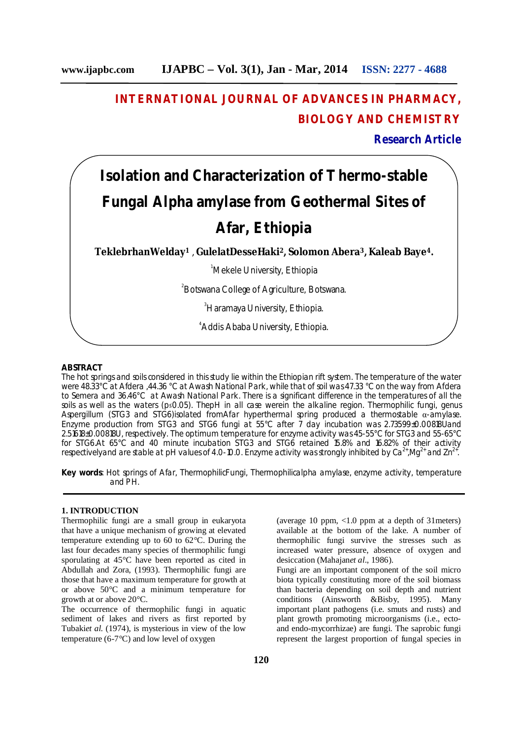## **INTERNATIONAL JOURNAL OF ADVANCES IN PHARMACY, BIOLOGY AND CHEMISTRY**

**Research Article**

# **Isolation and Characterization of Thermo-stable Fungal Alpha amylase from Geothermal Sites of Afar, Ethiopia**

**TeklebrhanWelday<sup>1</sup>** , **GulelatDesseHaki<sup>2</sup>, Solomon Abera<sup>3</sup>, Kaleab Baye<sup>4</sup>.**

<sup>1</sup>Mekele University, Ethiopia

<sup>2</sup> Botswana College of Agriculture, Botswana.

<sup>3</sup>Haramaya University, Ethiopia.

4 Addis Ababa University, Ethiopia.

#### **ABSTRACT**

The hot springs and soils considered in this study lie within the Ethiopian rift system. The temperature of the water were 48.33°C at Afdera ,44.36 °C at Awash National Park, while that of soil was 47.33 °C on the way from Afdera to Semera and 36.46°C at Awash National Park. There is a significant difference in the temperatures of all the soils as well as the waters (p≤0.05). ThepH in all case werein the alkaline region. Thermophilic fungi, genus Aspergillum (STG3 and STG6)isolated fromAfar hyperthermal spring produced a thermostable α-amylase. Enzyme production from STG3 and STG6 fungi at 55°C after 7 day incubation was 2.73599±0.00818Uand 2.51618±0.00818U, respectively. The optimum temperature for enzyme activity was 45-55°C for STG3 and 55-65°C for STG6.At 65°C and 40 minute incubation STG3 and STG6 retained 15.8% and 16.82% of their activity respectivelyand are stable at pH values of 4.0-10.0. Enzyme activity was strongly inhibited by Ca<sup>2+</sup>,Mg<sup>2+</sup> and Zn<sup>2+</sup>.

**Key words**: Hot springs of Afar, ThermophilicFungi, Thermophilicalpha amylase, enzyme activity, temperature and PH.

## **1. INTRODUCTION**

Thermophilic fungi are a small group in eukaryota that have a unique mechanism of growing at elevated temperature extending up to 60 to 62°C. During the last four decades many species of thermophilic fungi sporulating at 45°C have been reported as cited in Abdullah and Zora, (1993). Thermophilic fungi are those that have a maximum temperature for growth at or above 50°C and a minimum temperature for growth at or above 20°C.

The occurrence of thermophilic fungi in aquatic sediment of lakes and rivers as first reported by Tubaki*et al.* (1974), is mysterious in view of the low temperature (6-7 $\degree$ C) and low level of oxygen

(average 10 ppm, <1.0 ppm at a depth of 31meters) available at the bottom of the lake. A number of thermophilic fungi survive the stresses such as increased water pressure, absence of oxygen and desiccation (Mahajan*et al*., 1986).

Fungi are an important component of the soil micro biota typically constituting more of the soil biomass than bacteria depending on soil depth and nutrient conditions (Ainsworth &Bisby, 1995). Many important plant pathogens (i.e. smuts and rusts) and plant growth promoting microorganisms (i.e., ectoand endo-mycorrhizae) are fungi. The saprobic fungi represent the largest proportion of fungal species in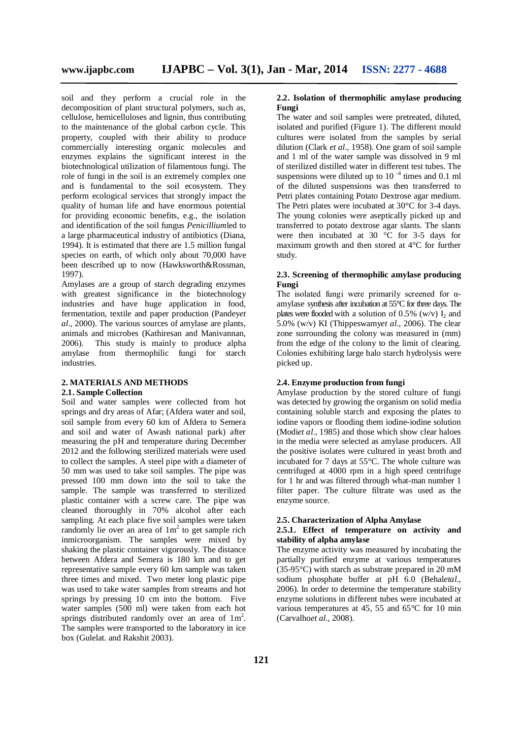soil and they perform a crucial role in the decomposition of plant structural polymers, such as, cellulose, hemicelluloses and lignin, thus contributing to the maintenance of the global carbon cycle. This property, coupled with their ability to produce commercially interesting organic molecules and enzymes explains the significant interest in the biotechnological utilization of filamentous fungi. The role of fungi in the soil is an extremely complex one and is fundamental to the soil ecosystem. They perform ecological services that strongly impact the quality of human life and have enormous potential for providing economic benefits, e.g., the isolation and identification of the soil fungus *Penicillium*led to a large pharmaceutical industry of antibiotics (Diana, 1994). It is estimated that there are 1.5 million fungal species on earth, of which only about 70,000 have been described up to now (Hawksworth&Rossman, 1997).

Amylases are a group of starch degrading enzymes with greatest significance in the biotechnology industries and have huge application in food, fermentation, textile and paper production (Pandey*et al*., 2000). The various sources of amylase are plants, animals and microbes (Kathiresan and Manivannan, 2006). This study is mainly to produce alpha amylase from thermophilic fungi for starch industries.

## **2. MATERIALS AND METHODS**

## **2.1. Sample Collection**

Soil and water samples were collected from hot springs and dry areas of Afar; (Afdera water and soil, soil sample from every 60 km of Afdera to Semera and soil and water of Awash national park) after measuring the pH and temperature during December 2012 and the following sterilized materials were used to collect the samples. A steel pipe with a diameter of 50 mm was used to take soil samples. The pipe was pressed 100 mm down into the soil to take the sample. The sample was transferred to sterilized plastic container with a screw care. The pipe was cleaned thoroughly in 70% alcohol after each sampling. At each place five soil samples were taken randomly lie over an area of  $1m^2$  to get sample rich inmicroorganism. The samples were mixed by shaking the plastic container vigorously. The distance between Afdera and Semera is 180 km and to get representative sample every 60 km sample was taken three times and mixed. Two meter long plastic pipe was used to take water samples from streams and hot springs by pressing 10 cm into the bottom. Five water samples (500 ml) were taken from each hot springs distributed randomly over an area of  $1m^2$ . The samples were transported to the laboratory in ice box (Gulelat. and Rakshit 2003).

#### **2.2. Isolation of thermophilic amylase producing Fungi**

The water and soil samples were pretreated, diluted, isolated and purified (Figure 1). The different mould cultures were isolated from the samples by serial dilution (Clark *et al*., 1958). One gram of soil sample and 1 ml of the water sample was dissolved in 9 ml of sterilized distilled water in different test tubes. The suspensions were diluted up to 10 $^{-4}$  times and 0.1 ml of the diluted suspensions was then transferred to Petri plates containing Potato Dextrose agar medium. The Petri plates were incubated at 30°C for 3-4 days. The young colonies were aseptically picked up and transferred to potato dextrose agar slants. The slants were then incubated at 30  $\degree$ C for 3-5 days for maximum growth and then stored at 4°C for further study.

## **2.3. Screening of thermophilic amylase producing Fungi**

The isolated fungi were primarily screened for αamylase synthesis after incubation at 55°C for three days. The plates were flooded with a solution of 0.5% (w/v)  $I_2$  and 5.0% (w/v) KI (Thippeswamy*et al*., 2006). The clear zone surrounding the colony was measured in (mm) from the edge of the colony to the limit of clearing. Colonies exhibiting large halo starch hydrolysis were picked up.

## **2.4. Enzyme production from fungi**

Amylase production by the stored culture of fungi was detected by growing the organism on solid media containing soluble starch and exposing the plates to iodine vapors or flooding them iodine-iodine solution (Modi*et al*., 1985) and those which show clear haloes in the media were selected as amylase producers. All the positive isolates were cultured in yeast broth and incubated for 7 days at 55°C. The whole culture was centrifuged at 4000 rpm in a high speed centrifuge for 1 hr and was filtered through what-man number 1 filter paper. The culture filtrate was used as the enzyme source.

#### **2.5. Characterization of Alpha Amylase**

#### **2.5.1. Effect of temperature on activity and stability of alpha amylase**

The enzyme activity was measured by incubating the partially purified enzyme at various temperatures (35-95°C) with starch as substrate prepared in 20 mM sodium phosphate buffer at pH 6.0 (Behal*etal.,*  2006). In order to determine the temperature stability enzyme solutions in different tubes were incubated at various temperatures at 45, 55 and 65°C for 10 min (Carvalho*et al.,* 2008).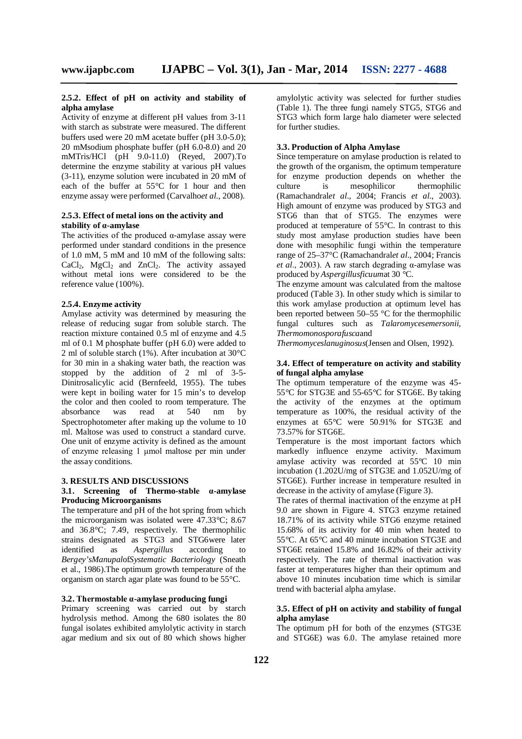#### **2.5.2. Effect of pH on activity and stability of alpha amylase**

Activity of enzyme at different pH values from 3-11 with starch as substrate were measured. The different buffers used were 20 mM acetate buffer (pH 3.0-5.0); 20 mMsodium phosphate buffer (pH 6.0-8.0) and 20 mMTris/HCl (pH 9.0-11.0) (Reyed, 2007).To determine the enzyme stability at various pH values (3-11), enzyme solution were incubated in 20 mM of each of the buffer at 55°C for 1 hour and then enzyme assay were performed (Carvalho*et al.,* 2008).

#### **2.5.3. Effect of metal ions on the activity and stability of α-amylase**

The activities of the produced  $\alpha$ -amylase assay were performed under standard conditions in the presence of 1.0 mM, 5 mM and 10 mM of the following salts:  $CaCl<sub>2</sub>$ , MgCl<sub>2</sub> and ZnCl<sub>2</sub>. The activity assayed without metal ions were considered to be the reference value (100%).

## **2.5.4. Enzyme activity**

Amylase activity was determined by measuring the release of reducing sugar from soluble starch. The reaction mixture contained 0.5 ml of enzyme and 4.5 ml of 0.1 M phosphate buffer (pH 6.0) were added to 2 ml of soluble starch (1%). After incubation at 30°C for 30 min in a shaking water bath, the reaction was stopped by the addition of 2 ml of 3-5- Dinitrosalicylic acid (Bernfeeld, 1955). The tubes were kept in boiling water for 15 min's to develop the color and then cooled to room temperature. The absorbance was read at 540 nm by Spectrophotometer after making up the volume to 10 ml. Maltose was used to construct a standard curve. One unit of enzyme activity is defined as the amount of enzyme releasing 1 μmol maltose per min under the assay conditions.

#### **3. RESULTS AND DISCUSSIONS**

## **3.1. Screening of Thermo-stable α-amylase Producing Microorganisms**

The temperature and pH of the hot spring from which the microorganism was isolated were 47.33°C; 8.67 and 36.8°C; 7.49, respectively. The thermophilic strains designated as STG3 and STG6were later identified as *Aspergillus* according to *Bergey'sManupal*of*Systematic Bacteriology* (Sneath et al., 1986).The optimum growth temperature of the organism on starch agar plate was found to be 55°C.

## **3.2. Thermostable α-amylase producing fungi**

Primary screening was carried out by starch hydrolysis method. Among the 680 isolates the 80 fungal isolates exhibited amylolytic activity in starch agar medium and six out of 80 which shows higher amylolytic activity was selected for further studies (Table 1). The three fungi namely STG5, STG6 and STG3 which form large halo diameter were selected for further studies.

#### **3.3. Production of Alpha Amylase**

Since temperature on amylase production is related to the growth of the organism, the optimum temperature for enzyme production depends on whether the culture is mesophilicor thermophilic (Ramachandral*et al*., 2004; Francis *et al*., 2003). High amount of enzyme was produced by STG3 and STG6 than that of STG5. The enzymes were produced at temperature of 55°C. In contrast to this study most amylase production studies have been done with mesophilic fungi within the temperature range of 25–37°C (Ramachandral*et al*., 2004; Francis *et al*., 2003). A raw starch degrading α-amylase was produced by *Aspergillusficuum*at 30 °C.

The enzyme amount was calculated from the maltose produced (Table 3). In other study which is similar to this work amylase production at optimum level has been reported between 50–55 °C for the thermophilic fungal cultures such as *Talaromycesemersonii*, *Thermomonosporafusca*and

*Thermomyceslanuginosus*(Jensen and Olsen, 1992).

## **3.4. Effect of temperature on activity and stability of fungal alpha amylase**

The optimum temperature of the enzyme was 45- 55°C for STG3E and 55-65°C for STG6E. By taking the activity of the enzymes at the optimum temperature as 100%, the residual activity of the enzymes at 65°C were 50.91% for STG3E and 73.57% for STG6E.

Temperature is the most important factors which markedly influence enzyme activity. Maximum amylase activity was recorded at 55ºC 10 min incubation (1.202U/mg of STG3E and 1.052U/mg of STG6E). Further increase in temperature resulted in decrease in the activity of amylase (Figure 3).

The rates of thermal inactivation of the enzyme at pH 9.0 are shown in Figure 4. STG3 enzyme retained 18.71% of its activity while STG6 enzyme retained 15.68% of its activity for 40 min when heated to 55°C. At 65°C and 40 minute incubation STG3E and STG6E retained 15.8% and 16.82% of their activity respectively. The rate of thermal inactivation was faster at temperatures higher than their optimum and above 10 minutes incubation time which is similar trend with bacterial alpha amylase.

## **3.5. Effect of pH on activity and stability of fungal alpha amylase**

The optimum pH for both of the enzymes (STG3E and STG6E) was 6.0. The amylase retained more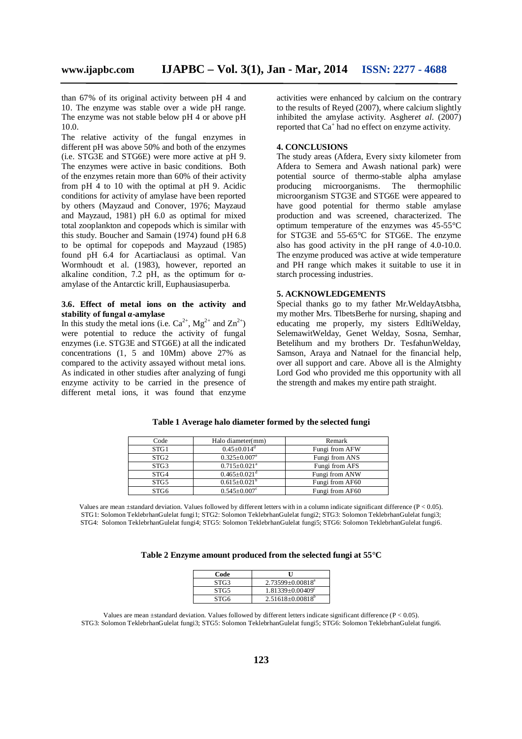than 67% of its original activity between pH 4 and 10. The enzyme was stable over a wide pH range. The enzyme was not stable below pH 4 or above pH 10.0.

The relative activity of the fungal enzymes in different pH was above 50% and both of the enzymes (i.e. STG3E and STG6E) were more active at pH 9. The enzymes were active in basic conditions. Both of the enzymes retain more than 60% of their activity from pH 4 to 10 with the optimal at pH 9. Acidic conditions for activity of amylase have been reported by others (Mayzaud and Conover, 1976; Mayzaud and Mayzaud, 1981) pH 6.0 as optimal for mixed total zooplankton and copepods which is similar with this study. Boucher and Samain (1974) found pH 6.8 to be optimal for copepods and Mayzaud (1985) found pH 6.4 for Acartiaclausi as optimal. Van Wormhoudt et al. (1983), however, reported an alkaline condition, 7.2 pH, as the optimum for  $\alpha$ amylase of the Antarctic krill, Euphausiasuperba.

## **3.6. Effect of metal ions on the activity and stability of fungal α-amylase**

In this study the metal ions (i.e.  $Ca^{2+}$ , Mg<sup>2+</sup> and  $Zn^{2+}$ ) were potential to reduce the activity of fungal enzymes (i.e. STG3E and STG6E) at all the indicated concentrations (1, 5 and 10Mm) above 27% as compared to the activity assayed without metal ions. As indicated in other studies after analyzing of fungi enzyme activity to be carried in the presence of different metal ions, it was found that enzyme

activities were enhanced by calcium on the contrary to the results of Reyed (2007), where calcium slightly inhibited the amylase activity. Asgher*et al*. (2007) reported that Ca<sup>+</sup> had no effect on enzyme activity.

#### **4. CONCLUSIONS**

The study areas (Afdera, Every sixty kilometer from Afdera to Semera and Awash national park) were potential source of thermo-stable alpha amylase producing microorganisms. The thermophilic microorganism STG3E and STG6E were appeared to have good potential for thermo stable amylase production and was screened, characterized. The optimum temperature of the enzymes was 45-55°C for STG3E and 55-65°C for STG6E. The enzyme also has good activity in the pH range of 4.0-10.0. The enzyme produced was active at wide temperature and PH range which makes it suitable to use it in starch processing industries.

#### **5. ACKNOWLEDGEMENTS**

Special thanks go to my father Mr.WeldayAtsbha, my mother Mrs. TlbetsBerhe for nursing, shaping and educating me properly, my sisters EdltiWelday, SelemawitWelday, Genet Welday, Sosna, Semhar, Betelihum and my brothers Dr. TesfahunWelday, Samson, Araya and Natnael for the financial help, over all support and care. Above all is the Almighty Lord God who provided me this opportunity with all the strength and makes my entire path straight.

| Code             | Halo diameter(mm)              | Remark          |
|------------------|--------------------------------|-----------------|
| STG1             | $0.45 \pm 0.014$ <sup>d</sup>  | Fungi from AFW  |
| STG <sub>2</sub> | $0.325 \pm 0.007$ <sup>e</sup> | Fungi from ANS  |
| STG3             | $0.715+0.021^a$                | Fungi from AFS  |
| STG4             | $0.465 \pm 0.021$ <sup>d</sup> | Fungi from ANW  |
| STG5             | $0.615 \pm 0.021^{\rm b}$      | Fungi from AF60 |
| STG6             | $0.545 \pm 0.007$ <sup>c</sup> | Fungi from AF60 |

**Table 1 Average halo diameter formed by the selected fungi**

Values are mean ±standard deviation. Values followed by different letters with in a column indicate significant difference (P < 0.05). STG1: Solomon TeklebrhanGulelat fungi1; STG2: Solomon TeklebrhanGulelat fungi2; STG3: Solomon TeklebrhanGulelat fungi3; STG4: Solomon TeklebrhanGulelat fungi4; STG5: Solomon TeklebrhanGulelat fungi5; STG6: Solomon TeklebrhanGulelat fungi6.

| Table 2 Enzyme amount produced from the selected fungi at 55 $^{\circ}\mathrm{C}$ |  |  |
|-----------------------------------------------------------------------------------|--|--|
|                                                                                   |  |  |

| Code | П                       |
|------|-------------------------|
| STG3 | $2.73599 \pm 0.00818^a$ |
| STG5 | $1.81339 + 0.00409^c$   |
| STG6 | $2.51618 \pm 0.00818^b$ |

Values are mean ±standard deviation. Values followed by different letters indicate significant difference (P < 0.05). STG3: Solomon TeklebrhanGulelat fungi3; STG5: Solomon TeklebrhanGulelat fungi5; STG6: Solomon TeklebrhanGulelat fungi6.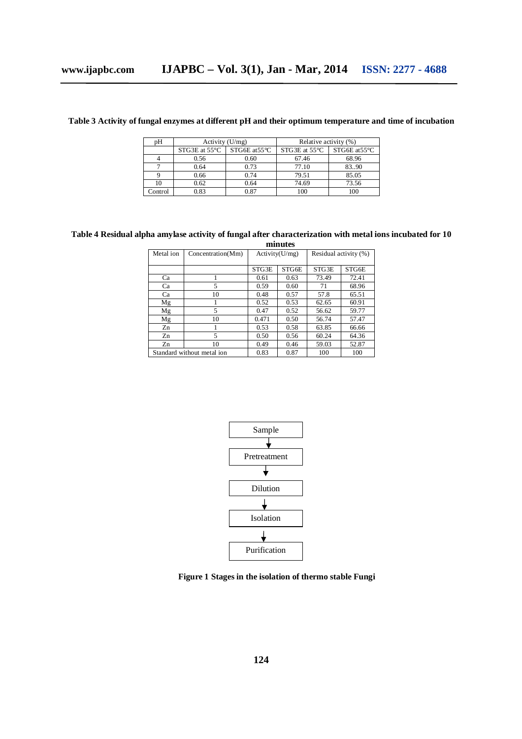|  | Table 3 Activity of fungal enzymes at different pH and their optimum temperature and time of incubation |  |  |  |  |  |
|--|---------------------------------------------------------------------------------------------------------|--|--|--|--|--|
|  |                                                                                                         |  |  |  |  |  |

| pΗ      | Activity $(U/mg)$         |                           | Relative activity (%)   |                         |  |
|---------|---------------------------|---------------------------|-------------------------|-------------------------|--|
|         | $STG3E$ at $55^{\circ}$ C | $STG6E$ at $55^{\circ}$ C | STG3E at $55^{\circ}$ C | STG6E at $55^{\circ}$ C |  |
|         | 0.56                      | 0.60                      | 67.46                   | 68.96                   |  |
|         | 0.64                      | 0.73                      | 77.10                   | 83.90                   |  |
|         | 0.66                      | 0.74                      | 79.51                   | 85.05                   |  |
|         | 0.62                      | 0.64                      | 74.69                   | 73.56                   |  |
| Control | 0.83                      | 0.87                      | 100                     | 100                     |  |

#### **Table 4 Residual alpha amylase activity of fungal after characterization with metal ions incubated for 10 minutes**

| Metal ion                  | Concentration(Mm) | Activity(U/mg) |       | Residual activity (%) |       |  |  |
|----------------------------|-------------------|----------------|-------|-----------------------|-------|--|--|
|                            |                   | STG3E          | STG6E | STG3E                 | STG6E |  |  |
| Ca                         |                   | 0.61           | 0.63  | 73.49                 | 72.41 |  |  |
| Ca                         | 5                 | 0.59           | 0.60  | 71                    | 68.96 |  |  |
| Ca                         | 10                | 0.48           | 0.57  | 57.8                  | 65.51 |  |  |
| Mg                         |                   | 0.52           | 0.53  | 62.65                 | 60.91 |  |  |
| Mg                         | 5                 | 0.47           | 0.52  | 56.62                 | 59.77 |  |  |
| Mg                         | 10                | 0.471          | 0.50  | 56.74                 | 57.47 |  |  |
| Zn                         |                   | 0.53           | 0.58  | 63.85                 | 66.66 |  |  |
| Zn                         | 5                 | 0.50           | 0.56  | 60.24                 | 64.36 |  |  |
| Zn                         | 10                | 0.49           | 0.46  | 59.03                 | 52.87 |  |  |
| Standard without metal ion |                   | 0.83           | 0.87  | 100                   | 100   |  |  |



**Figure 1 Stages in the isolation of thermo stable Fungi**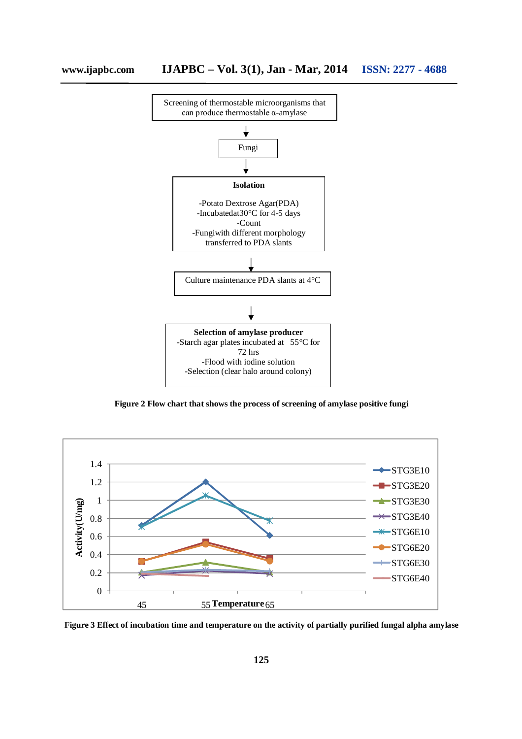

**Figure 2 Flow chart that shows the process of screening of amylase positive fungi**



**Figure 3 Effect of incubation time and temperature on the activity of partially purified fungal alpha amylase**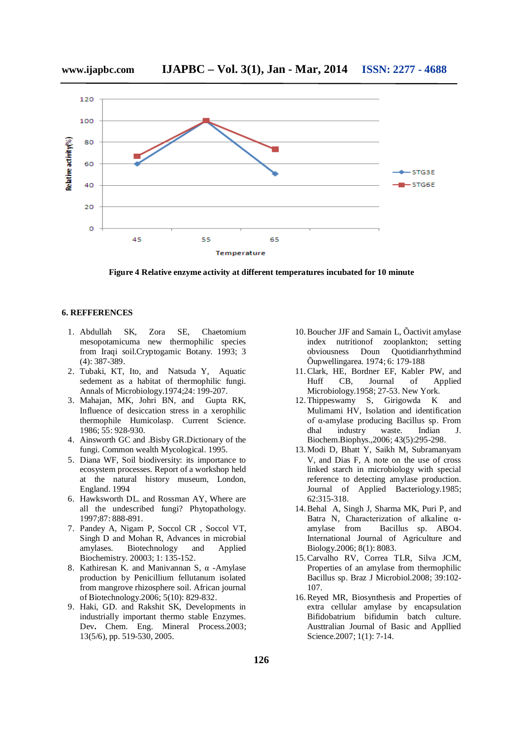

**www.ijapbc.com IJAPBC – Vol. 3(1), Jan - Mar, 2014 ISSN: 2277 - 4688**

**Figure 4 Relative enzyme activity at different temperatures incubated for 10 minute**

## **6. REFFERENCES**

- 1. Abdullah SK, Zora SE, Chaetomium mesopotamicuma new thermophilic species from Iraqi soil.Cryptogamic Botany. 1993; 3 (4): 387-389.
- 2. Tubaki, KT, Ito, and Natsuda Y, Aquatic sedement as a habitat of thermophilic fungi. Annals of Microbiology.1974;24: 199-207.
- 3. Mahajan, MK, Johri BN, and Gupta RK, Influence of desiccation stress in a xerophilic thermophile Humicolasp. Current Science. 1986; 55: 928-930.
- 4. Ainsworth GC and .Bisby GR.Dictionary of the fungi. Common wealth Mycological. 1995.
- 5. Diana WF, Soil biodiversity: its importance to ecosystem processes. Report of a workshop held at the natural history museum, London, England. 1994
- 6. Hawksworth DL. and Rossman AY, Where are all the undescribed fungi? Phytopathology. 1997;87: 888-891.
- 7. Pandey A, Nigam P, Soccol CR , Soccol VT, Singh D and Mohan R, Advances in microbial amylases. Biotechnology and Applied Biochemistry. 20003; 1: 135-152.
- 8. Kathiresan K. and Manivannan S, α -Amylase production by Penicillium fellutanum isolated from mangrove rhizosphere soil. African journal of Biotechnology.2006; 5(10): 829-832.
- 9. Haki, GD. and Rakshit SK, Developments in industrially important thermo stable Enzymes. Dev**.** Chem. Eng. Mineral Process.2003; 13(5/6), pp. 519-530, 2005.
- 10.Boucher JJF and Samain L, Õactivit amylase index nutritionof zooplankton; setting obviousness Doun Quotidianrhythmind Õupwellingarea. 1974; 6: 179-188
- 11.Clark, HE, Bordner EF, Kabler PW, and Huff CB, Journal of Applied Microbiology.1958; 27-53. New York.
- 12.Thippeswamy S, Girigowda K and Mulimami HV, Isolation and identification of α-amylase producing Bacillus sp. From dhal industry waste. Indian J. Biochem.Biophys.,2006; 43(5):295-298.
- 13.Modi D, Bhatt Y, Saikh M, Subramanyam V, and Dias F, A note on the use of cross linked starch in microbiology with special reference to detecting amylase production. Journal of Applied Bacteriology.1985; 62:315-318.
- 14.Behal A, Singh J, Sharma MK, Puri P, and Batra N, Characterization of alkaline αamylase from Bacillus sp. ABO4. International Journal of Agriculture and Biology.2006; 8(1): 8083.
- 15.Carvalho RV, Correa TLR, Silva JCM, Properties of an amylase from thermophilic Bacillus sp. Braz J Microbiol.2008; 39:102- 107.
- 16.Reyed MR, Biosynthesis and Properties of extra cellular amylase by encapsulation Bifidobatrium bifidumin batch culture. Austtralian Journal of Basic and Appllied Science.2007; 1(1): 7-14.